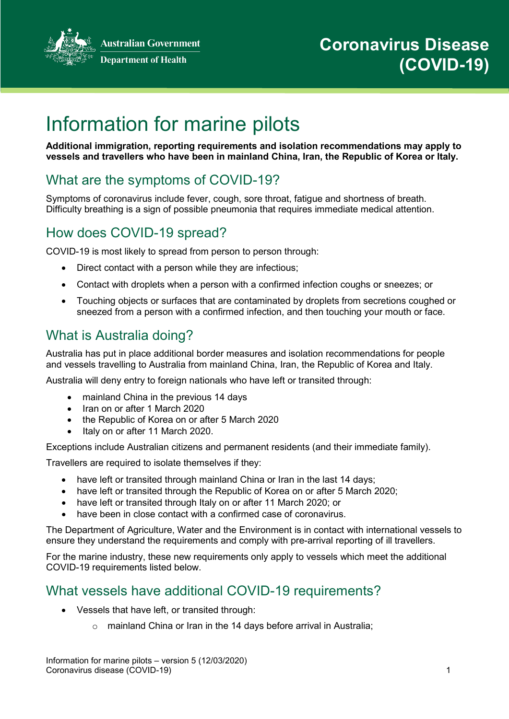**Australian Government Department of Health** 



# Information for marine pilots

**Additional immigration, reporting requirements and isolation recommendations may apply to vessels and travellers who have been in mainland China, Iran, the Republic of Korea or Italy.**

# What are the symptoms of COVID-19?

Symptoms of coronavirus include fever, cough, sore throat, fatigue and shortness of breath. Difficulty breathing is a sign of possible pneumonia that requires immediate medical attention.

## How does COVID-19 spread?

COVID-19 is most likely to spread from person to person through:

- Direct contact with a person while they are infectious;
- Contact with droplets when a person with a confirmed infection coughs or sneezes; or
- Touching objects or surfaces that are contaminated by droplets from secretions coughed or sneezed from a person with a confirmed infection, and then touching your mouth or face.

### What is Australia doing?

Australia has put in place additional border measures and isolation recommendations for people and vessels travelling to Australia from mainland China, Iran, the Republic of Korea and Italy.

Australia will deny entry to foreign nationals who have left or transited through:

- mainland China in the previous 14 days
- Iran on or after 1 March 2020
- the Republic of Korea on or after 5 March 2020
- Italy on or after 11 March 2020.

Exceptions include Australian citizens and permanent residents (and their immediate family).

Travellers are required to isolate themselves if they:

- have left or transited through mainland China or Iran in the last 14 days;
- have left or transited through the Republic of Korea on or after 5 March 2020:
- have left or transited through Italy on or after 11 March 2020; or
- have been in close contact with a confirmed case of coronavirus.

The Department of Agriculture, Water and the Environment is in contact with international vessels to ensure they understand the requirements and comply with pre-arrival reporting of ill travellers.

For the marine industry, these new requirements only apply to vessels which meet the additional COVID-19 requirements listed below.

#### What vessels have additional COVID-19 requirements?

- Vessels that have left, or transited through:
	- o mainland China or Iran in the 14 days before arrival in Australia;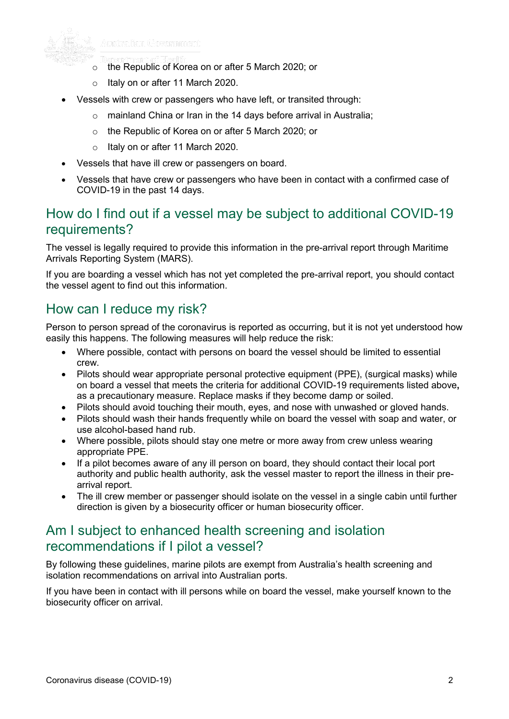

Australian Government

- o the Republic of Korea on or after 5 March 2020; or
- o Italy on or after 11 March 2020.
- Vessels with crew or passengers who have left, or transited through:
	- o mainland China or Iran in the 14 days before arrival in Australia;
	- o the Republic of Korea on or after 5 March 2020; or
	- o Italy on or after 11 March 2020.
- Vessels that have ill crew or passengers on board.
- Vessels that have crew or passengers who have been in contact with a confirmed case of COVID-19 in the past 14 days.

#### How do I find out if a vessel may be subject to additional COVID-19 requirements?

The vessel is legally required to provide this information in the pre-arrival report through Maritime Arrivals Reporting System (MARS).

If you are boarding a vessel which has not yet completed the pre-arrival report, you should contact the vessel agent to find out this information.

#### How can I reduce my risk?

Person to person spread of the coronavirus is reported as occurring, but it is not yet understood how easily this happens. The following measures will help reduce the risk:

- Where possible, contact with persons on board the vessel should be limited to essential crew.
- Pilots should wear appropriate personal protective equipment (PPE), (surgical masks) while on board a vessel that meets the criteria for additional COVID-19 requirements listed above**,** as a precautionary measure. Replace masks if they become damp or soiled.
- Pilots should avoid touching their mouth, eves, and nose with unwashed or gloved hands.
- Pilots should wash their hands frequently while on board the vessel with soap and water, or use alcohol-based hand rub.
- Where possible, pilots should stay one metre or more away from crew unless wearing appropriate PPE.
- If a pilot becomes aware of any ill person on board, they should contact their local port authority and public health authority, ask the vessel master to report the illness in their prearrival report.
- The ill crew member or passenger should isolate on the vessel in a single cabin until further direction is given by a biosecurity officer or human biosecurity officer.

#### Am I subject to enhanced health screening and isolation recommendations if I pilot a vessel?

By following these guidelines, marine pilots are exempt from Australia's health screening and isolation recommendations on arrival into Australian ports.

If you have been in contact with ill persons while on board the vessel, make yourself known to the biosecurity officer on arrival.